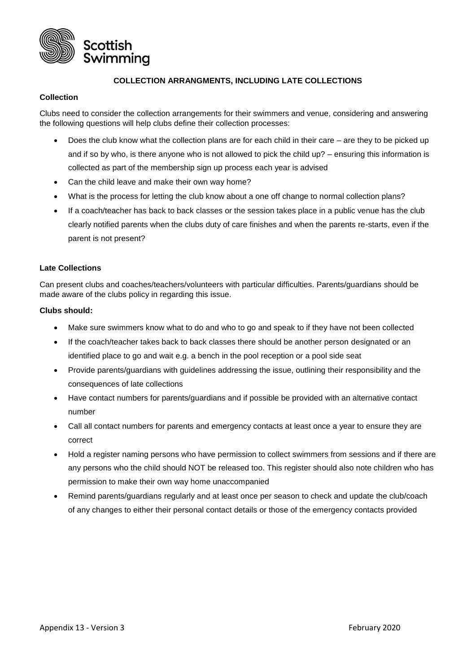

# **COLLECTION ARRANGMENTS, INCLUDING LATE COLLECTIONS**

## **Collection**

Clubs need to consider the collection arrangements for their swimmers and venue, considering and answering the following questions will help clubs define their collection processes:

- Does the club know what the collection plans are for each child in their care are they to be picked up and if so by who, is there anyone who is not allowed to pick the child up? – ensuring this information is collected as part of the membership sign up process each year is advised
- Can the child leave and make their own way home?
- What is the process for letting the club know about a one off change to normal collection plans?
- If a coach/teacher has back to back classes or the session takes place in a public venue has the club clearly notified parents when the clubs duty of care finishes and when the parents re-starts, even if the parent is not present?

## **Late Collections**

Can present clubs and coaches/teachers/volunteers with particular difficulties. Parents/guardians should be made aware of the clubs policy in regarding this issue.

## **Clubs should:**

- Make sure swimmers know what to do and who to go and speak to if they have not been collected
- If the coach/teacher takes back to back classes there should be another person designated or an identified place to go and wait e.g. a bench in the pool reception or a pool side seat
- Provide parents/guardians with guidelines addressing the issue, outlining their responsibility and the consequences of late collections
- Have contact numbers for parents/guardians and if possible be provided with an alternative contact number
- Call all contact numbers for parents and emergency contacts at least once a year to ensure they are correct
- Hold a register naming persons who have permission to collect swimmers from sessions and if there are any persons who the child should NOT be released too. This register should also note children who has permission to make their own way home unaccompanied
- Remind parents/guardians regularly and at least once per season to check and update the club/coach of any changes to either their personal contact details or those of the emergency contacts provided